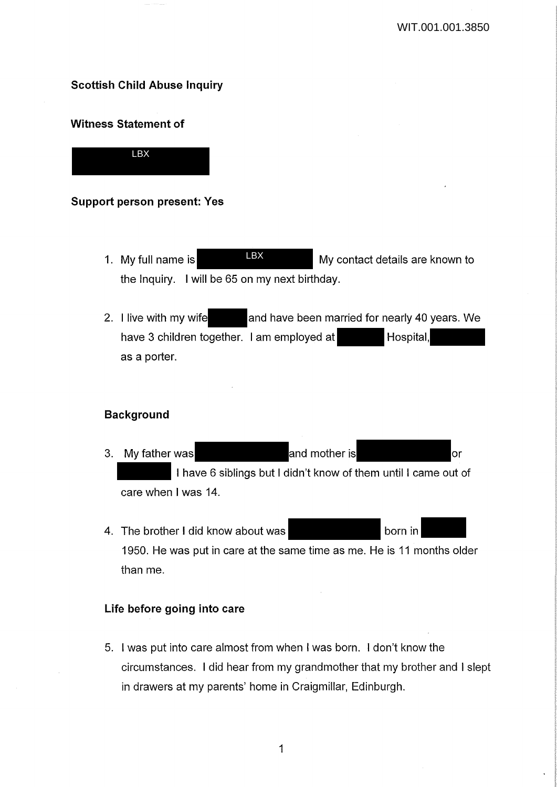# **Scottish Child Abuse Inquiry**

# **Witness Statement of**



# **Support person present: Yes**

- 1. My full name is **HEX** My contact details are known to the Inquiry. I will be 65 on my next birthday. LBX
- 2. I live with my wife and have been married for nearly 40 years. We have 3 children together. I am employed at Hospital, as a porter.

# **Background**

- 3. My father was **and mother is** and mother is **and mother** is **and mother** is **and mother** is **a** I have 6 siblings but I didn't know of them until I came out of care when I was 14.
- 4. The brother I did know about was **contained** born in 1950. He was put in care at the same time as me. He is 11 months older than me.

## **Life before going into care**

5. I was put into care almost from when I was born. I don't know the circumstances. I did hear from my grandmother that my brother and I slept in drawers at my parents' home in Craigmillar, Edinburgh.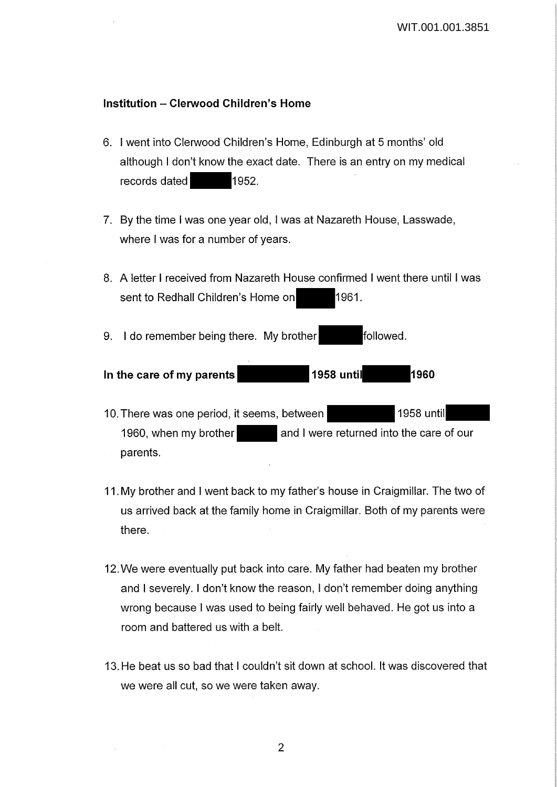# **Institution - Clerwood Children's Home**

- 6. I went into Clerwood Children's Home, Edinburgh at 5 months' old although I don't know the exact date. There is an entry on my medical records dated 1952.
- 7. By the time I was one year old, I was at Nazareth House, Lasswade, where I was for a number of years.
- 8. A letter I received from Nazareth House confirmed I went there until I was sent to Redhall Children's Home on 1961.

9. I do remember being there. My brother **followed**.

# **In the care of my parents 1958 until 1960**

- 10. There was one period, it seems, between 1958 until 1960, when my brother and I were returned into the care of our parents.
- 11. My brother and I went back to my father's house in Craigmillar. The two of us arrived back at the family home in Craigmillar. Both of my parents were there.
- 12. We were eventually put back into care. My father had beaten my brother and I severely. I don't know the reason, I don't remember doing anything wrong because I was used to being fairly well behaved. He got us into a room and battered us with a belt.
- 13. He beat us so bad that I couldn't sit down at school. It was discovered that we were all cut, so we were taken away.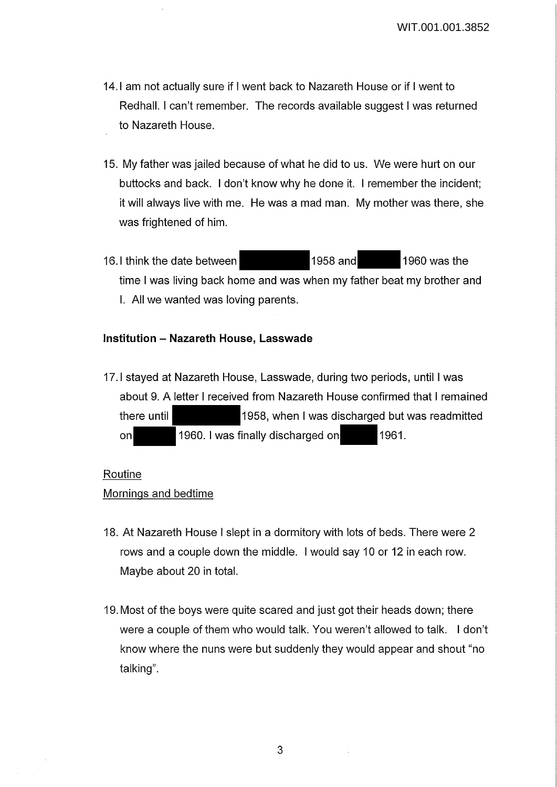- 14.1 am not actually sure if I went back to Nazareth House or if I went to Redhall. I can't remember. The records available suggest I was returned to Nazareth House.
- 15. My father was jailed because of what he did to us. We were hurt on our buttocks and back. I don't know why he done it. I remember the incident; it will always live with me. He was a mad man. My mother was there, she was frightened of him.
- 16.1 think the date between 1958 and 1960 was the time I was living back home and was when my father beat my brother and I. All we wanted was loving parents.

# **Institution - Nazareth House, Lasswade**

17.1 stayed at Nazareth House, Lasswade, during two periods, until I was about 9. A letter I received from Nazareth House confirmed that I remained there until 1958, when I was discharged but was readmitted on 1960. I was finally discharged on 1961.

# Routine

# Mornings and bedtime

- 18. At Nazareth House I slept in a dormitory with lots of beds. There were 2 rows and a couple down the middle. I would say 10 or 12 in each row. Maybe about 20 in total.
- 19. Most of the boys were quite scared and just got their heads down; there were a couple of them who would talk. You weren't allowed to talk. I don't know where the nuns were but suddenly they would appear and shout "no talking".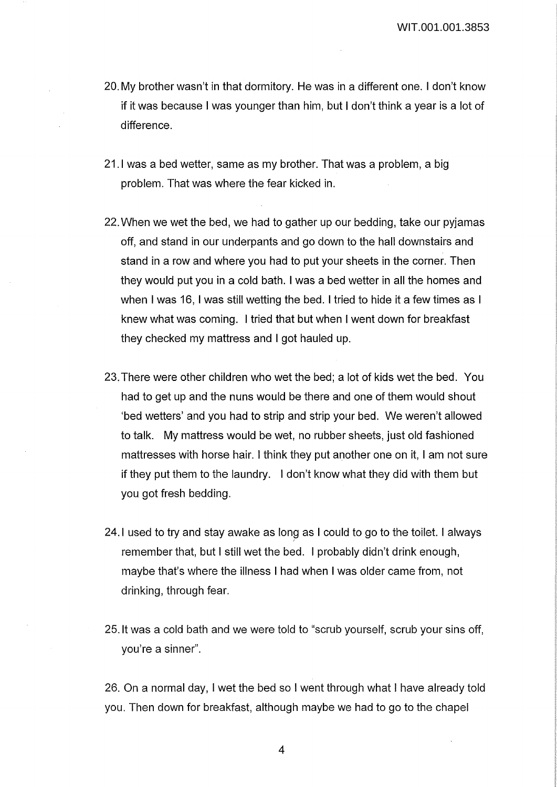- 20. My brother wasn't in that dormitory. He was in a different one. I don't know if it was because I was younger than him, but I don't think a year is a lot of difference.
- 21.1 was a bed wetter, same as my brother. That was a problem, a big problem. That was where the fear kicked in.
- 22. When we wet the bed, we had to gather up our bedding, take our pyjamas off, and stand in our underpants and go down to the hall downstairs and stand in a row and where you had to put your sheets in the corner. Then they would put you in a cold bath. I was a bed wetter in all the homes and when I was 16, I was still wetting the bed. I tried to hide it a few times as I knew what was coming. I tried that but when I went down for breakfast they checked my mattress and I got hauled up.
- 23. There were other children who wet the bed; a lot of kids wet the bed. You had to get up and the nuns would be there and one of them would shout 'bed wetters' and you had to strip and strip your bed. We weren't allowed to talk. My mattress would be wet, no rubber sheets, just old fashioned mattresses with horse hair. I think they put another one on it, I am not sure if they put them to the laundry. I don't know what they did with them but you got fresh bedding.
- 24.1 used to try and stay awake as long as I could to go to the toilet. I always remember that, but I still wet the bed. I probably didn't drink enough, maybe that's where the illness I had when I was older came from, not drinking, through fear.
- 25. It was a cold bath and we were told to "scrub yourself, scrub your sins off, you're a sinner".

26. On a normal day, I wet the bed so I went through what I have already told you. Then down for breakfast, although maybe we had to go to the chapel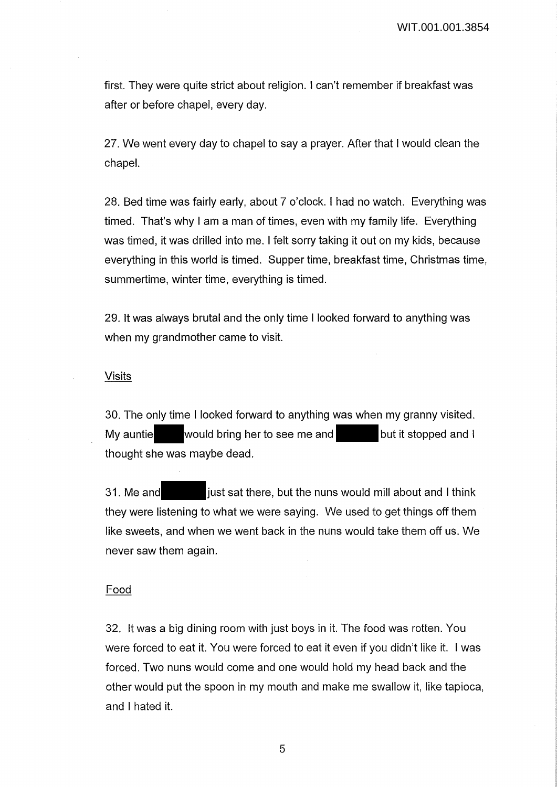first. They were quite strict about religion. I can't remember if breakfast was after or before chapel, every day.

27. We went every day to chapel to say a prayer. After that I would clean the chapel.

28. Bed time was fairly early, about 7 o'clock. I had no watch. Everything was timed. That's why I am a man of times, even with my family life. Everything was timed, it was drilled into me. I felt sorry taking it out on my kids, because everything in this world is timed. Supper time, breakfast time, Christmas time, summertime, winter time, everything is timed.

29. It was always brutal and the only time I looked forward to anything was when my grandmother came to visit.

### Visits

30. The only time I looked forward to anything was when my granny visited. My auntie would bring her to see me and but it stopped and I thought she was maybe dead.

31. Me and just sat there, but the nuns would mill about and I think they were listening to what we were saying. We used to get things off them like sweets, and when we went back in the nuns would take them off us. We never saw them again.

# Food

32. It was a big dining room with just boys in it. The food was rotten. You were forced to eat it. You were forced to eat it even if you didn't like it. I was forced. Two nuns would come and one would hold my head back and the other would put the spoon in my mouth and make me swallow it, like tapioca, and I hated it.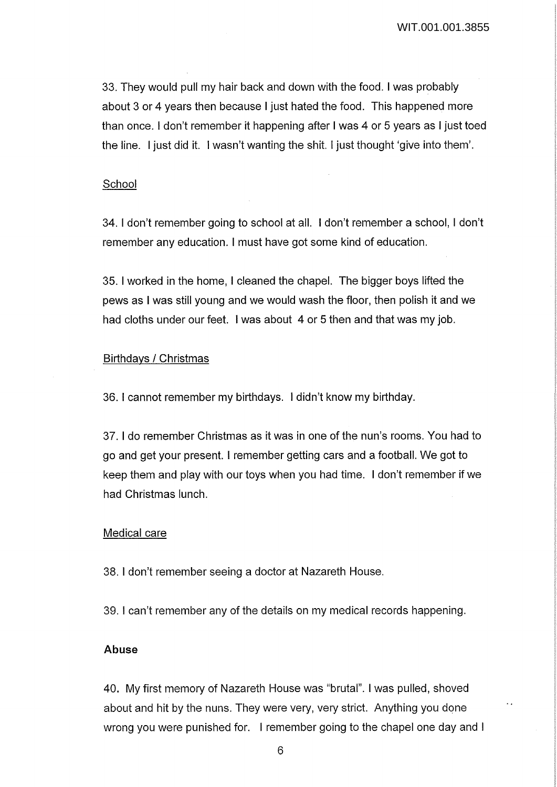33. They would pull my hair back and down with the food. I was probably about 3 or 4 years then because I just hated the food. This happened more than once. I don't remember it happening after I was 4 or 5 years as I just toed the line. I just did it. I wasn't wanting the shit. I just thought 'give into them'.

#### School

34. I don't remember going to school at all. I don't remember a school, I don't remember any education. I must have got some kind of education.

35. I worked in the home, I cleaned the chapel. The bigger boys lifted the pews as I was still young and we would wash the floor, then polish it and we had cloths under our feet. I was about 4 or 5 then and that was my job.

### Birthdays / Christmas

36. I cannot remember my birthdays. I didn't know my birthday.

37. I do remember Christmas as it was in one of the nun's rooms. You had to go and get your present. I remember getting cars and a football. We got to keep them and play with our toys when you had time. I don't remember if we had Christmas lunch.

#### Medical care

38. I don't remember seeing a doctor at Nazareth House.

39. I can't remember any of the details on my medical records happening.

# **Abuse**

40. My first memory of Nazareth House was "brutal". I was pulled, shoved about and hit by the nuns. They were very, very strict. Anything you done wrong you were punished for. I remember going to the chapel one day and I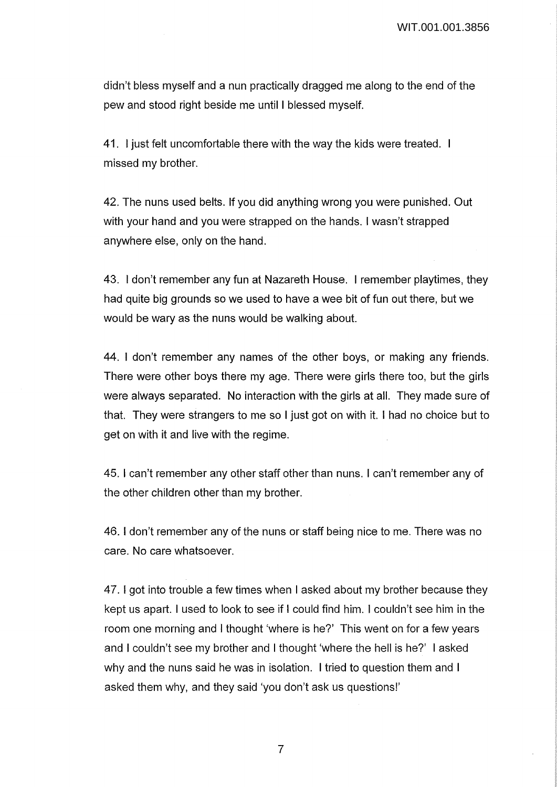didn't bless myself and a nun practically dragged me along to the end of the pew and stood right beside me until I blessed myself.

41. I just felt uncomfortable there with the way the kids were treated. missed my brother.

42. The nuns used belts. If you did anything wrong you were punished. Out with your hand and you were strapped on the hands. I wasn't strapped anywhere else, only on the hand.

43. I don't remember any fun at Nazareth House. I remember playtimes, they had quite big grounds so we used to have a wee bit of fun out there, but we would be wary as the nuns would be walking about.

44. I don't remember any names of the other boys, or making any friends. There were other boys there my age. There were girls there too, but the girls were always separated. No interaction with the girls at all. They made sure of that. They were strangers to me so I just got on with it. I had no choice but to get on with it and live with the regime.

45. I can't remember any other staff other than nuns. I can't remember any of the other children other than my brother.

46. I don't remember any of the nuns or staff being nice to me. There was no care. No care whatsoever.

47. I got into trouble a few times when I asked about my brother because they kept us apart. I used to look to see if I could find him. I couldn't see him in the room one morning and I thought 'where is he?' This went on for a few years and I couldn't see my brother and I thought 'where the hell is he?' I asked why and the nuns said he was in isolation. I tried to question them and I asked them why, and they said 'you don't ask us questions!'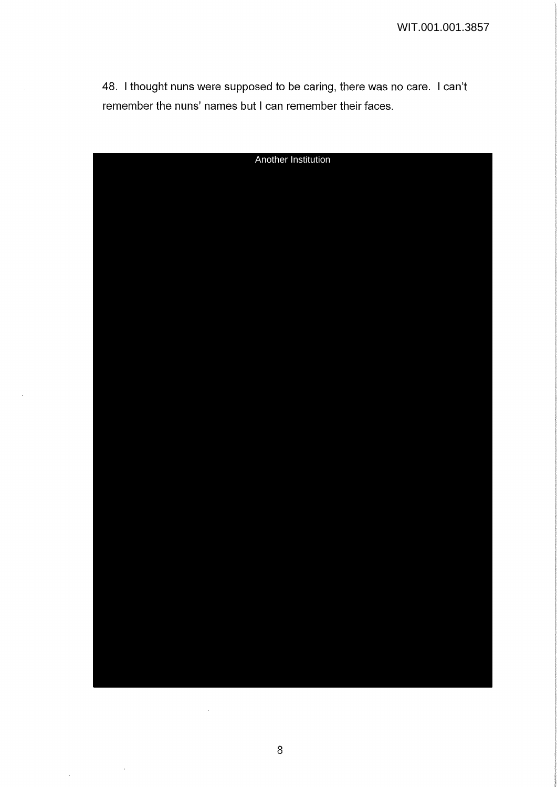48. I thought nuns were supposed to be caring, there was no care. I can't remember the nuns' names but I can remember their faces.

| Another Institution |
|---------------------|
|                     |
|                     |
|                     |
|                     |
|                     |
|                     |
|                     |
|                     |
|                     |
|                     |
|                     |
|                     |
|                     |
|                     |
|                     |
|                     |
|                     |
|                     |
|                     |
|                     |
|                     |
|                     |
|                     |
|                     |
|                     |
|                     |
|                     |
|                     |
|                     |
|                     |
|                     |
|                     |
|                     |
|                     |
|                     |
|                     |

 $\sim$ 

 $\sim$ 

 $\sim$ 

 $\bar{\mathcal{A}}$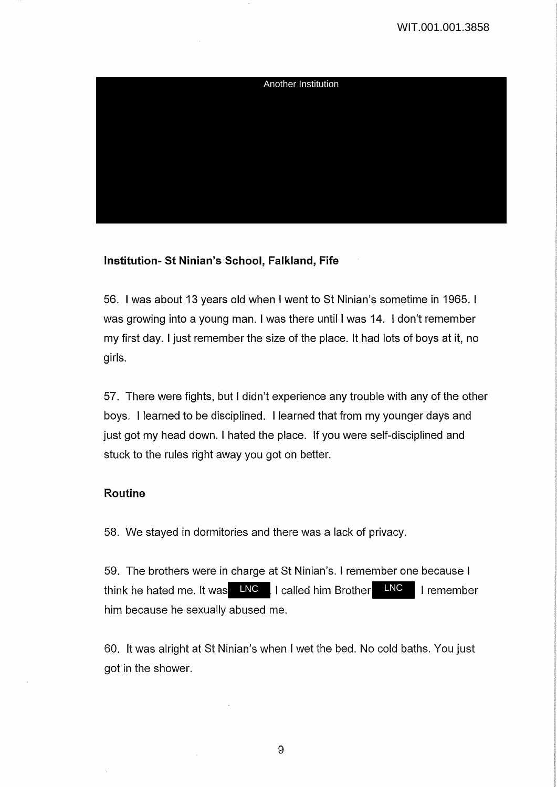

# **Institution- St Ninian's School, Falkland, Fife**

56. I was about 13 years old when I went to St Ninian's sometime in 1965. I was growing into a young man. I was there until I was 14. I don't remember my first day. I just remember the size of the place. It had lots of boys at it, no girls.

57. There were fights, but I didn't experience any trouble with any of the other boys. I learned to be disciplined. I learned that from my younger days and just got my head down. I hated the place. If you were self-disciplined and stuck to the rules right away you got on better.

## **Routine**

58. We stayed in dormitories and there was a lack of privacy.

59. The brothers were in charge at St Ninian's. I remember one because I think he hated me. It was LNC LI called him Brother LNC LI remember him because he sexually abused me.

60. It was alright at St Ninian's when I wet the bed. No cold baths. You just got in the shower.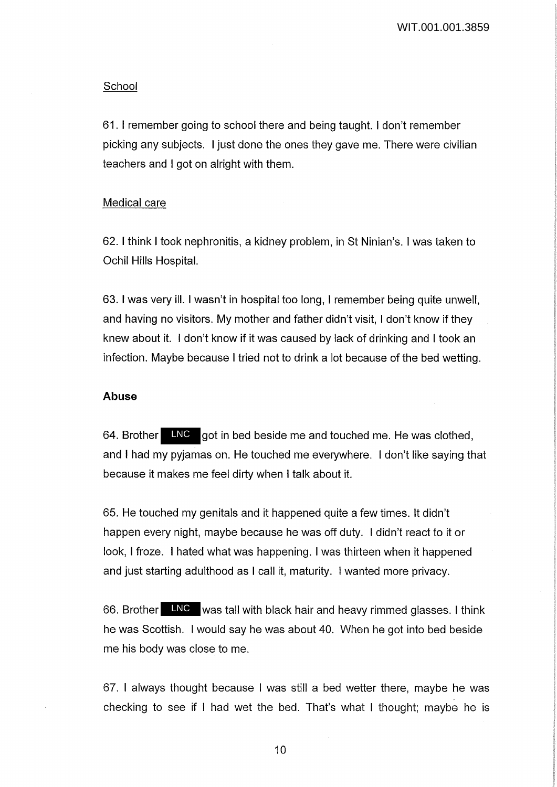### School

61. I remember going to school there and being taught. I don't remember picking any subjects. I just done the ones they gave me. There were civilian teachers and I got on alright with them.

### Medical care

62. I think I took nephronitis, a kidney problem, in St Ninian's. I was taken to Ochil Hills Hospital.

63. I was very ill. I wasn't in hospital too long, I remember being quite unwell, and having no visitors. My mother and father didn't visit, I don't know if they knew about it. I don't know if it was caused by lack of drinking and I took an infection. Maybe because I tried not to drink a lot because of the bed wetting.

### **Abuse**

64. Brother LNC got in bed beside me and touched me. He was clothed, and I had my pyjamas on. He touched me everywhere. I don't like saying that because it makes me feel dirty when I talk about it.

65. He touched my genitals and it happened quite a few times. It didn't happen every night, maybe because he was off duty. I didn't react to it or look, I froze. I hated what was happening. I was thirteen when it happened and just starting adulthood as I call it, maturity. I wanted more privacy.

66. Brother LNC was tall with black hair and heavy rimmed glasses. I think he was Scottish. I would say he was about 40. When he got into bed beside me his body was close to me.

67. I always thought because I was still a bed wetter there, maybe he was checking to see if I had wet the bed. That's what I thought; maybe he is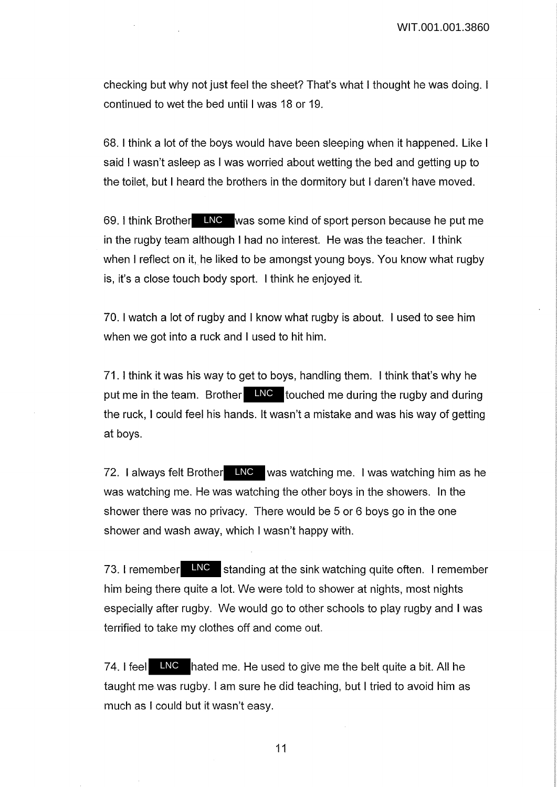WIT.001.001.3860

checking but why not just feel the sheet? That's what I thought he was doing. I continued to wet the bed until I was 18 or 19.

68. I think a lot of the boys would have been sleeping when it happened. Like I said I wasn't asleep as I was worried about wetting the bed and getting up to the toilet, but I heard the brothers in the dormitory but I daren't have moved.

69. I think Brother LNC was some kind of sport person because he put me in the rugby team although I had no interest. He was the teacher. I think when I reflect on it, he liked to be amongst young boys. You know what rugby is, it's a close touch body sport. I think he enjoyed it.

70. I watch a lot of rugby and I know what rugby is about. I used to see him when we got into a ruck and I used to hit him.

71. I think it was his way to get to boys, handling them. I think that's why he put me in the team. Brother LNC touched me during the rugby and during the ruck, I could feel his hands. It wasn't a mistake and was his way of getting at boys.

72. I always felt Brother LNC was watching me. I was watching him as he was watching me. He was watching the other boys in the showers. In the shower there was no privacy. There would be 5 or 6 boys go in the one shower and wash away, which I wasn't happy with.

73. I remember  $\Box$ NC standing at the sink watching quite often. I remember him being there quite a lot. We were told to shower at nights, most nights especially after rugby. We would go to other schools to play rugby and I was terrified to take my clothes off and come out.

74. I feel LNC hated me. He used to give me the belt quite a bit. All he taught me was rugby. I am sure he did teaching, but I tried to avoid him as much as I could but it wasn't easy.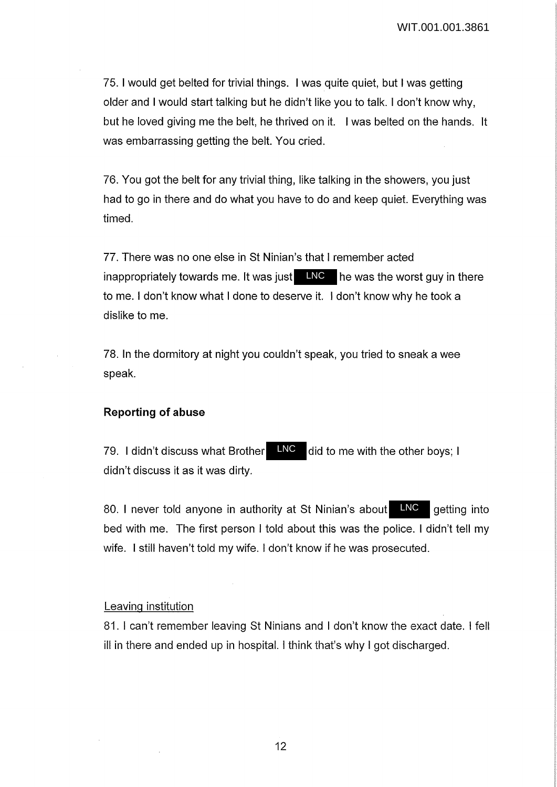75. I would get belted for trivial things. I was quite quiet, but I was getting older and I would start talking but he didn't like you to talk. I don't know why, but he loved giving me the belt, he thrived on it. I was belted on the hands. It was embarrassing getting the belt. You cried.

76. You got the belt for any trivial thing, like talking in the showers, you just had to go in there and do what you have to do and keep quiet. Everything was timed.

77. There was no one else in St Ninian's that I remember acted inappropriately towards me. It was just  $\Box$  MC  $\Box$  he was the worst guy in there to me. I don't know what I done to deserve it. I don't know why he took a dislike to me.

78. In the dormitory at night you couldn't speak, you tried to sneak a wee speak.

## **Reporting of abuse**

79. I didn't discuss what Brother **LNC** did to me with the other boys; I didn't discuss it as it was dirty. LNC

80. I never told anyone in authority at St Ninian's about **LNC** getting into bed with me. The first person I told about this was the police. I didn't tell my wife. I still haven't told my wife. I don't know if he was prosecuted. LNC

## Leaving institution

81. I can't remember leaving St Ninians and I don't know the exact date. I fell ill in there and ended up in hospital. I think that's why I got discharged.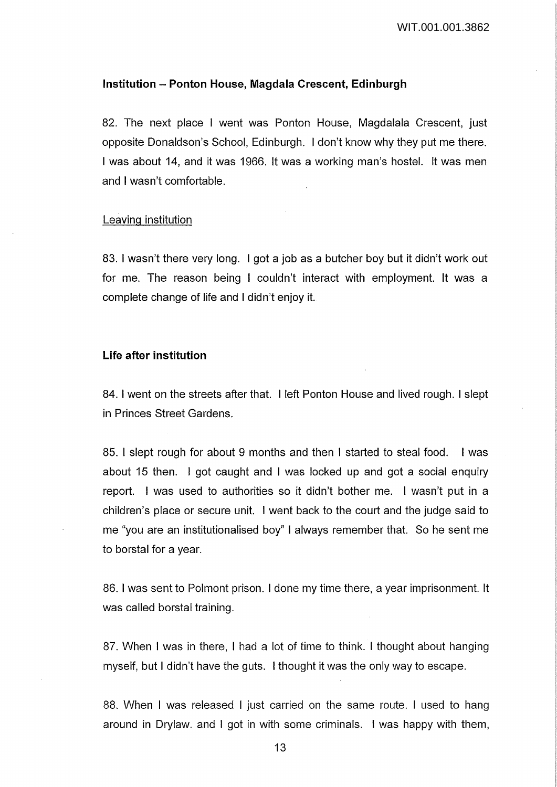#### **Institution - Ponton House, Magdala Crescent, Edinburgh**

82. The next place I went was Ponton House, Magdalala Crescent, just opposite Donaldson's School, Edinburgh. I don't know why they put me there. I was about 14, and it was 1966. It was a working man's hostel. It was men and I wasn't comfortable.

#### Leaving institution

83. I wasn't there very long. I got a job as a butcher boy but it didn't work out for me. The reason being I couldn't interact with employment. It was a complete change of life and I didn't enjoy it.

### **Life after institution**

84. I went on the streets after that. I left Ponton House and lived rough. I slept in Princes Street Gardens.

85. I slept rough for about 9 months and then I started to steal food. I was about 15 then. I got caught and I was locked up and got a social enquiry report. I was used to authorities so it didn't bother me. I wasn't put in a children's place or secure unit. I went back to the court and the judge said to me "you are an institutionalised boy" I always remember that. So he sent me to borstal for a year.

86. I was sent to Polmont prison. I done my time there, a year imprisonment. It was called borstal training.

87. When I was in there, I had a lot of time to think. I thought about hanging myself, but I didn't have the guts. I thought it was the only way to escape.

88. When I was released I just carried on the same route. I used to hang around in Drylaw. and I got in with some criminals. I was happy with them,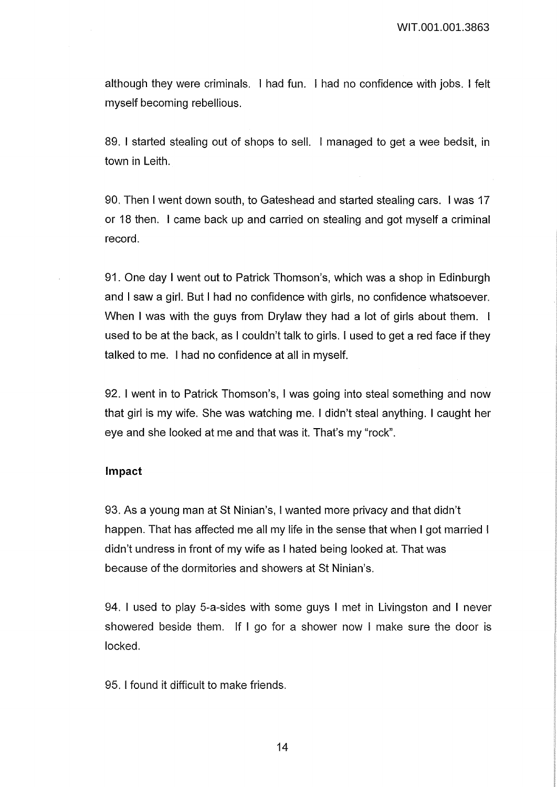although they were criminals. I had fun. I had no confidence with jobs. I felt myself becoming rebellious.

89. I started stealing out of shops to sell. I managed to get a wee bedsit, in town in Leith.

90. Then I went down south, to Gateshead and started stealing cars. I was 17 or 18 then. I came back up and carried on stealing and got myself a criminal record.

91. One day I went out to Patrick Thomson's, which was a shop in Edinburgh and I saw a girl. But I had no confidence with girls, no confidence whatsoever. When I was with the guys from Drylaw they had a lot of girls about them. I used to be at the back, as I couldn't talk to girls. I used to get a red face if they talked to me. I had no confidence at all in myself.

92. I went in to Patrick Thomson's, I was going into steal something and now that girl is my wife. She was watching me. I didn't steal anything. I caught her eye and she looked at me and that was it. That's my "rock".

## **Impact**

93. As a young man at St Ninian's, I wanted more privacy and that didn't happen. That has affected me all my life in the sense that when I got married I didn't undress in front of my wife as I hated being looked at. That was because of the dormitories and showers at St Ninian's.

94. I used to play 5-a-sides with some guys I met in Livingston and I never showered beside them. If I go for a shower now I make sure the door is locked.

95. I found it difficult to make friends.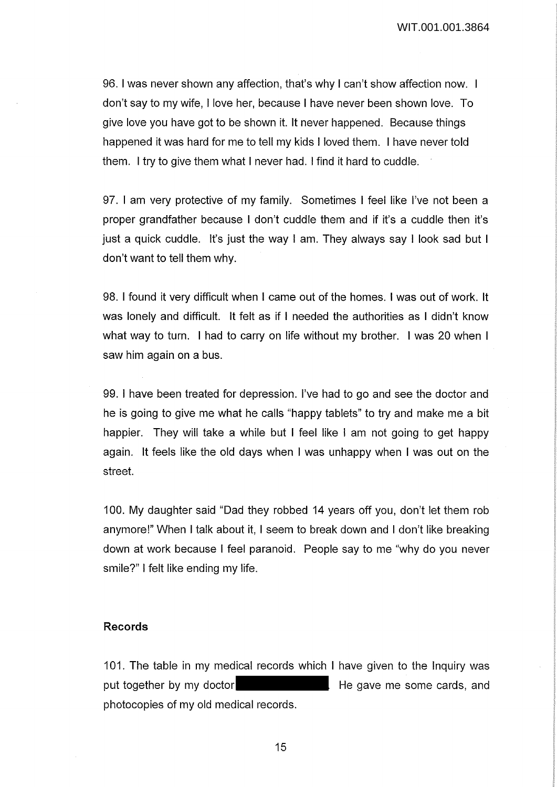WIT.001.001.3864

96. I was never shown any affection, that's why I can't show affection now. I don't say to my wife, I love her, because I have never been shown love. To give love you have got to be shown it. It never happened. Because things happened it was hard for me to tell my kids I loved them. I have never told them. I try to give them what I never had. I find it hard to cuddle.

97. I am very protective of my family. Sometimes I feel like I've not been a proper grandfather because I don't cuddle them and if it's a cuddle then it's just a quick cuddle. It's just the way I am. They always say I look sad but I don't want to tell them why.

98. I found it very difficult when I came out of the homes. I was out of work. It was lonely and difficult. It felt as if I needed the authorities as I didn't know what way to turn. I had to carry on life without my brother. I was 20 when I saw him again on a bus.

99. I have been treated for depression. I've had to go and see the doctor and he is going to give me what he calls "happy tablets" to try and make me a bit happier. They will take a while but I feel like I am not going to get happy again. It feels like the old days when I was unhappy when I was out on the street.

100. My daughter said "Dad they robbed 14 years off you, don't let them rob anymore!" When I talk about it, I seem to break down and I don't like breaking down at work because I feel paranoid. People say to me "why do you never smile?" I felt like ending my life.

## **Records**

101. The table in my medical records which I have given to the Inquiry was put together by my doctor **He gave me some cards**, and photocopies of my old medical records.